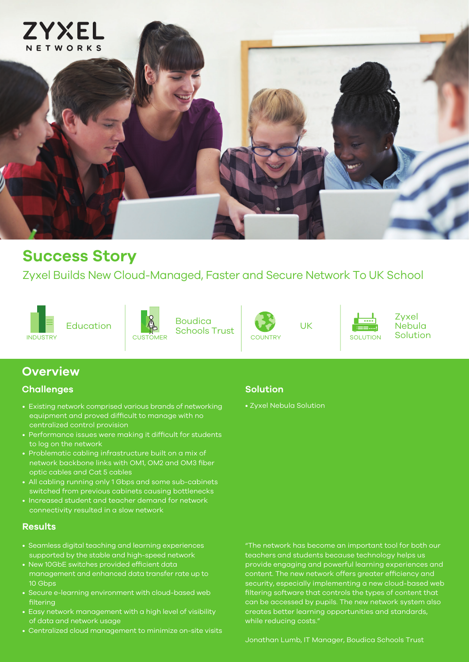

# **Success Story**

Zyxel Builds New Cloud-Managed, Faster and Secure Network To UK School





 $E$ ducation  $\|\cdot\|$   $\|\cdot\|$   $\|\cdot\|$   $\|\cdot\|$   $\|\cdot\|$   $\|\cdot\|$   $\|\cdot\|$ Boudica Schools Trust





Zyxel Nebula

### **Overview**

### **Challenges**

- Existing network comprised various brands of networking equipment and proved difficult to manage with no centralized control provision
- Performance issues were making it difficult for students to log on the network
- Problematic cabling infrastructure built on a mix of network backbone links with OM1, OM2 and OM3 fiber optic cables and Cat 5 cables
- All cabling running only 1 Gbps and some sub-cabinets switched from previous cabinets causing bottlenecks
- Increased student and teacher demand for network connectivity resulted in a slow network

#### **Results**

- Seamless digital teaching and learning experiences supported by the stable and high-speed network
- New 10GbE switches provided efficient data management and enhanced data transfer rate up to 10 Gbps
- Secure e-learning environment with cloud-based web filtering
- Easy network management with a high level of visibility of data and network usage
- Centralized cloud management to minimize on-site visits

#### **Solution**

• Zyxel Nebula Solution

"The network has become an important tool for both our teachers and students because technology helps us provide engaging and powerful learning experiences and content. The new network offers greater efficiency and security, especially implementing a new cloud-based web filtering software that controls the types of content that can be accessed by pupils. The new network system also creates better learning opportunities and standards, while reducing costs."

Jonathan Lumb, IT Manager, Boudica Schools Trust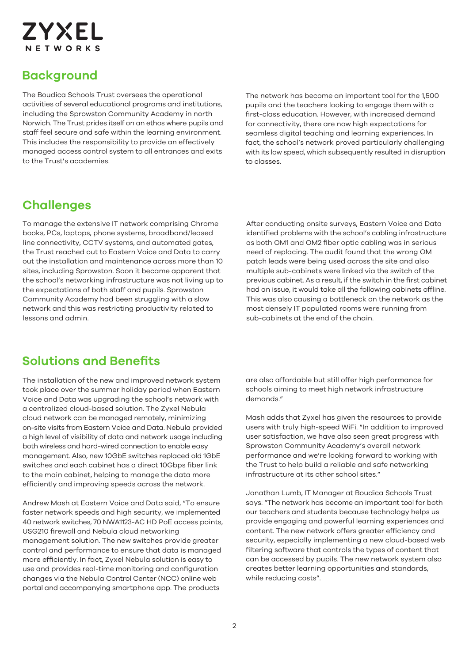

## **Background**

The Boudica Schools Trust oversees the operational activities of several educational programs and institutions, including the Sprowston Community Academy in north Norwich. The Trust prides itself on an ethos where pupils and staff feel secure and safe within the learning environment. This includes the responsibility to provide an effectively managed access control system to all entrances and exits to the Trust's academies.

The network has become an important tool for the 1,500 pupils and the teachers looking to engage them with a first-class education. However, with increased demand for connectivity, there are now high expectations for seamless digital teaching and learning experiences. In fact, the school's network proved particularly challenging with its low speed, which subsequently resulted in disruption to classes.

### **Challenges**

To manage the extensive IT network comprising Chrome books, PCs, laptops, phone systems, broadband/leased line connectivity, CCTV systems, and automated gates, the Trust reached out to Eastern Voice and Data to carry out the installation and maintenance across more than 10 sites, including Sprowston. Soon it became apparent that the school's networking infrastructure was not living up to the expectations of both staff and pupils. Sprowston Community Academy had been struggling with a slow network and this was restricting productivity related to lessons and admin.

After conducting onsite surveys, Eastern Voice and Data identified problems with the school's cabling infrastructure as both OM1 and OM2 fiber optic cabling was in serious need of replacing. The audit found that the wrong OM patch leads were being used across the site and also multiple sub-cabinets were linked via the switch of the previous cabinet. As a result, if the switch in the first cabinet had an issue, it would take all the following cabinets offline. This was also causing a bottleneck on the network as the most densely IT populated rooms were running from sub-cabinets at the end of the chain.

### **Solutions and Benefits**

The installation of the new and improved network system took place over the summer holiday period when Eastern Voice and Data was upgrading the school's network with a centralized cloud-based solution. The Zyxel Nebula cloud network can be managed remotely, minimizing on-site visits from Eastern Voice and Data. Nebula provided a high level of visibility of data and network usage including both wireless and hard-wired connection to enable easy management. Also, new 10GbE switches replaced old 1GbE switches and each cabinet has a direct 10Gbps fiber link to the main cabinet, helping to manage the data more efficiently and improving speeds across the network.

Andrew Mash at Eastern Voice and Data said, "To ensure faster network speeds and high security, we implemented 40 network switches, 70 NWA1123-AC HD PoE access points, USG210 firewall and Nebula cloud networking management solution. The new switches provide greater control and performance to ensure that data is managed more efficiently. In fact, Zyxel Nebula solution is easy to use and provides real-time monitoring and configuration changes via the Nebula Control Center (NCC) online web portal and accompanying smartphone app. The products

are also affordable but still offer high performance for schools aiming to meet high network infrastructure demands."

Mash adds that Zyxel has given the resources to provide users with truly high-speed WiFi. "In addition to improved user satisfaction, we have also seen great progress with Sprowston Community Academy's overall network performance and we're looking forward to working with the Trust to help build a reliable and safe networking infrastructure at its other school sites."

Jonathan Lumb, IT Manager at Boudica Schools Trust says: "The network has become an important tool for both our teachers and students because technology helps us provide engaging and powerful learning experiences and content. The new network offers greater efficiency and security, especially implementing a new cloud-based web filtering software that controls the types of content that can be accessed by pupils. The new network system also creates better learning opportunities and standards, while reducing costs".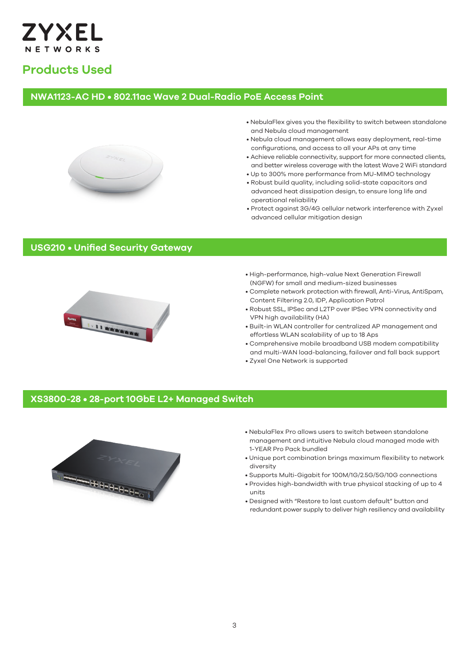

### **Products Used**

#### **NWA1123-AC HD • 802.11ac Wave 2 Dual-Radio PoE Access Point**



- NebulaFlex gives you the flexibility to switch between standalone and Nebula cloud management
- Nebula cloud management allows easy deployment, real-time configurations, and access to all your APs at any time
- Achieve reliable connectivity, support for more connected clients, and better wireless coverage with the latest Wave 2 WiFi standard
- Up to 300% more performance from MU-MIMO technology
- Robust build quality, including solid-state capacitors and advanced heat dissipation design, to ensure long life and operational reliability
- Protect against 3G/4G cellular network interference with Zyxel advanced cellular mitigation design

#### **USG210 • Unified Security Gateway**



- High-performance, high-value Next Generation Firewall (NGFW) for small and medium-sized businesses
- Complete network protection with firewall, Anti-Virus, AntiSpam, Content Filtering 2.0, IDP, Application Patrol
- Robust SSL, IPSec and L2TP over IPSec VPN connectivity and VPN high availability (HA)
- Built-in WLAN controller for centralized AP management and effortless WLAN scalability of up to 18 Aps
- Comprehensive mobile broadband USB modem compatibility and multi-WAN load-balancing, failover and fall back support
- Zyxel One Network is supported

#### **XS3800-28 • 28-port 10GbE L2+ Managed Switch**



- NebulaFlex Pro allows users to switch between standalone management and intuitive Nebula cloud managed mode with 1-YEAR Pro Pack bundled
- Unique port combination brings maximum flexibility to network diversity
- Supports Multi-Gigabit for 100M/1G/2.5G/5G/10G connections
- Provides high-bandwidth with true physical stacking of up to 4 units
- Designed with "Restore to last custom default" button and redundant power supply to deliver high resiliency and availability